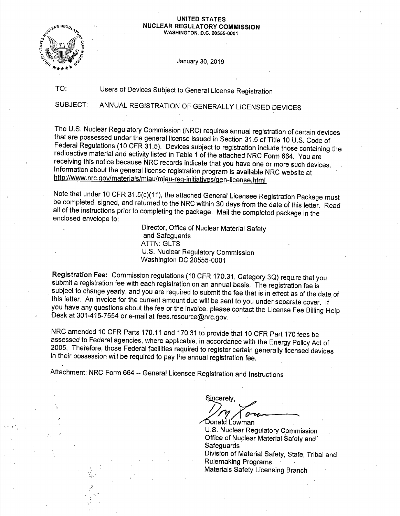#### **UNITED STATES NUCLEAR REGULATORY COMMISSION WASHINGTON, D.C. 20555-0001**

January 30, 2019

TO:

.. *':* 

·'

Users of Devices Subject to General License Registration

SUBJECT: ANNUAL REGISTRATION OF GENERALLY LICENSED DEVICES

The U.S. Nuclear Regulatory Commission (NRC) requires annual registration of certain devices that are possessed under the general license issued in Section 31.5 of Title 10 U.S. Code of Federal Regulations (10 CFR 31.5). Devices subject to registration include those containing the radioactive material and activity listed in Table 1 of the attached NRC Form 664. You are receiving this notice because NRC records indicate that you have one or more such devices. Information about the general license registration program is available NRC website at http://www.nrc.gov/materials/miau/miau-reg-initiatives/gen-license.html

Note that under 10 CFR 31.5(c)(11), the attached General Licensee Registration Package must be completed, signed, and returned to the NRC within 30 days from the date of this letter. Read all of the instructions prior to completing the package. Mail the completed package in the enclosed envelope to:

> Director, Office of Nuclear Material Safety and Safeguards **ATTN: GLTS** U.S. Nuclear Regulatory Commission Washington DC 20555-0001

Registration Fee: Commission regulations (10 CFR 170.31, Category 3Q) require that you submit a registration fee with each registration on an annual basis. The registration fee is subject to change yearly, and you are required to submit the fee that is in effect as of the date of this letter. An invoice for the current amount due will be sent to you under separate cover. If you have any questions about the fee or the invoice, please contact the License Fee Billing Help Desk at 301-415-7554 or e-mail at fees.resource@nrc.gov.

NRC amended 10 CFR Parts 170.11 and 170.31 to provide that 10 CFR Part 170 fees be assessed to Federal agencies, where applicable, in accordance with the Energy Policy Act of <sup>2005</sup>.. Therefore, those Federal facilities required to register certain generally licensed devices in their possession will be required to pay the annual registration fee.

Attachment: NRC Form 664 - General Licensee Registration and Instructions

Sincerely.  $\vee$ Donald Ľowman

U.S. Nuclear Regulatory Commission Office of Nuclear Material Safety and **Safeguards** Division of Material Safety, State, Tribal and Rulemaking Programs. - Materials Safety Licensing Branch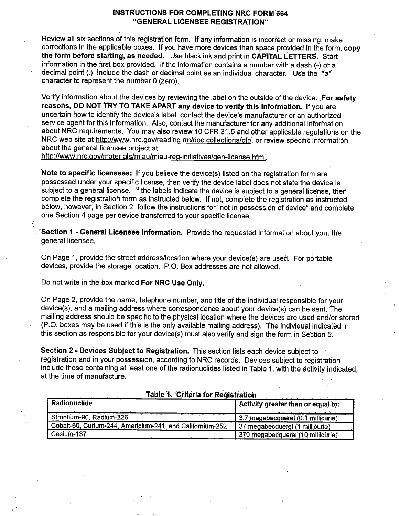### **l:NSTRUCTIONS FOR COMPLETING NRC FORNHi64 ''GENERAL LICENSEE REGISTRATION"**

Review all six sections of this registration form. If any,information is incorrect or missing, make corrections in the applicable boxes. If you have more devices than space provided in the form, **copy the form before starting, as needed.** Use black ink and print in **CAPITAL LETTERS.** Start information in the first box provided. If the information contains a number with a dash (-) or a decimal point (.), include the dash or decimal point as an individual character. Use the "o" character to represent the number O (zero).

Verify information about the devices by reviewing the label on the outside of the device. **For safety reasons, DO NOT TRY iO TAKE APART any device to verify this information.** If you are uncertain how to identify the device's label, contact the device's manufacturer or an authorized service agent for this information. Also, contact the manufacturer for any additional information about NRC requirements. You may also review 10 CFR 31.5 and other applicable regulations on the. NRC web site at http://www.nrc.gov/reading rm/doc collections/cfr/, or review specific information about the general licensee project at

http://www.nrc.gov/materials/miau/miau-reg-initiatives/gen-license.html.

Note to specific licensees: If you believe the device(s) listed on the registration form are possessed under your specific license, then verify the device label does not state the device is subject to a general license. If the labels indicate the device is subject to a general license, then complete the registration form as instructed below. If not, complete the registration as instructed below, however, in Section 2, follow the instructions for "not in possession of device" and complete one Section 4 page per device transferred to your specific license .

**Section 1 - General Licensee Information.** Provide the requested information about you, the general licensee.

On Page 1, provide the street address/location where your device(s) are used. For portable devices, provide the storage location. P.O. Box addresses are not allowed.

Do not write in the box marked **For NRC Use Only.** 

On Page 2, provide the name, telephone number, and title of the individual responsible for your device(s), and a mailing address where correspondence about your device(s) can be sent. The mailing address should be specific to the physical location where the devices are used and/or stored (P.O. boxes may be used if this is the only available mailing address). The individual indicated.in this section as responsible for your device(s) must also verify and sign the form in Section 5.

**Section 2** - **Devices Subject to Registration.** This section lists each device subject to reaistration and in your possession, according to NRC records. Devices subject to registration include those containing at least one of the radionuclides listed in Table 1, with the activity indicated, at the time of manufacture.

| Radionuclide                                              | Activity greater than or equal to: |
|-----------------------------------------------------------|------------------------------------|
| Strontium-90, Radium-226                                  | 3.7 megabecquerel (0.1 millicurie) |
| Cobalt-60, Curium-244, Americium-241, and Californium-252 | 37 megabecquerel (1 millicurie)    |
| Cesium-137                                                | 370 megabecquerel (10 millicurie)  |

**Table 1. Criteria for Registration 1996 1996**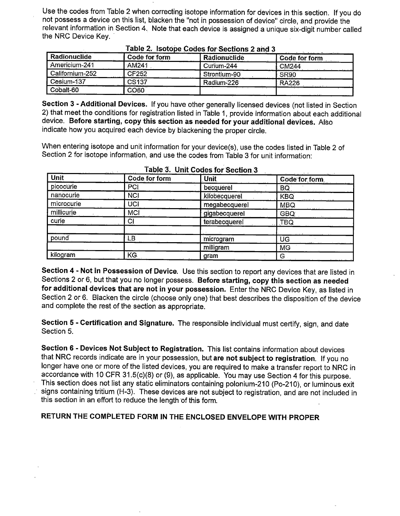Use the codes from Table 2 when correcting isotope information for devices in this section. If you do not possess a device on this list, blacken the "not in possession of device" circle, and provide the relevant information in Section 4. Note that each device is assigned a unique six-digit number called the NRC Device Key.

| Radionuclide    | Code for form     | Radionuclide | Code for form     |
|-----------------|-------------------|--------------|-------------------|
| Americium-241   | AM241             | Curium-244   | CM <sub>244</sub> |
| Californium-252 | <b>CF252</b>      | Strontium-90 | SR <sub>90</sub>  |
| Cesium-137      | CS <sub>137</sub> | Radium-226   | <b>RA226</b>      |
| Cobalt-60       | CO60              |              |                   |

### $T$ **z** $\theta$  $2$ . Isotope Codes for Sections 2 and 3

**Section 3** - **Additional Devices.** If you have other generally licensed devices (not listed in Section 2) that meet the conditions for registration listed in Table 1, provide information about each additional device. **Before starting, copy this section as needed for your additional devices.** Also indicate how you acquired each device by blackening the proper circle.

When entering isotope and unit information for your device(s), use the codes listed in Table 2 of Section 2 for isotope information, and use the codes from Table 3 for unit information:

| Unit       | Code for form | Unit          | ファイル・ロール たて<br><u>a mari</u><br>Code for form |
|------------|---------------|---------------|-----------------------------------------------|
| picocurie  | PCI           | becquerel     | BQ                                            |
| nanocurie  | <b>NCI</b>    | kilobecquerel | <b>KBQ</b>                                    |
| microcurie | UCI           | megabecquerel | MBQ.                                          |
| millicurie | <b>MCI</b>    | gigabecquerel | GBQ:                                          |
| curie      | CI            | terabecquerel | <b>TBQ</b>                                    |
| pound      | LB.           | microgram     | UG                                            |
|            |               | milligram     | <b>MG</b>                                     |
| kilogram   | KG.           | gram          | G                                             |

#### ,. **Table 3. Unit Codes for Section :3**

**Section 4** ~ **Not in Possession of Device.** Use this section to report any devices that are listed in Sections 2 or 6, but that you no longer possess. **Before starting, copy this section as needed**  for additional devices that are not in your possession. Enter the NRC Device Key, as listed in Section 2 or 6. Blacken the circle (choose only one) that best describes the disposition of the device and complete the rest of the section as appropriate.

**Section 5** - **Certification and Signature.** The responsible individual must certify, sign, and date Section 5.

**Section 6** - **Devices Not Subject to Registration.** This list contains information about devices that NRC records indicate are in your possession, but **are not subject to registration.** If you no longer have one or more of the listed devices, you are required to make a transfer report to NRC in accordance with 10 CFR 31.5(c)(8) or (9), as applicable. You may use Section 4 for this purpose. This section does not list any static eliminators containing polonium-210 (Po-210), or luminous exit signs containing tritium (H-3). These devices are not subject to registration, and are not included in this section in an effort to reduce the length of this form.

### **RETURN THE COMPLETED FORM IN THE ENCLOSED ENVELOPE WITH PROPER**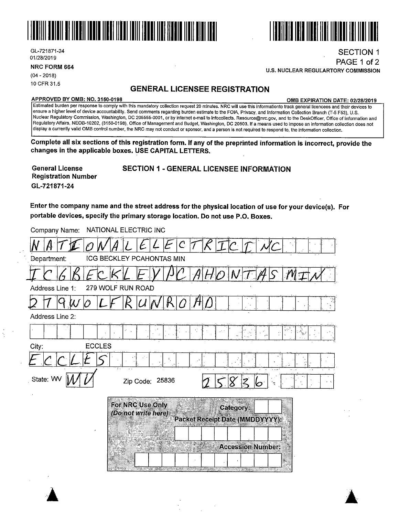



**NRC FORM 664** 

(04 - 2018) 10 CFR 31.5

### **GENERAL LICENSEE REGISTRATION**

#### **APPROVED BY 0MB: NO. 3150-0198 0MB EXPIRATION DATE: 02/28/2019**

SECTION 1 PAGE 1 of 2

111111111111111111 IIII IIIIIII Ill llll llll

**U.S. NUCLEAR REGUl.ARTORY COMMISSION** 

Estimated burden per response to comply with this mandatory collection request 20 minutes. NRC will use this informationto track general licencees and their devices *to* ensure a higher level of device accountability. Send comments regarding burden estimate *to* the FOIA, Privacy, and Information Collection Branch (T-5 F53), U.S. Nuclear Regulatory Commission, Washington, DC 205555-0001, or by internet e-mail to Infocollects. Resource@nrc.gov, and to the DeskOfficer, Office of Information and Regulatory Affairs, NEOB-10202, (3150-0198), Office of Management and Budget, Washington, DC 20503. If a means used to impose an information collection does not display a currently valid 0MB control number, the NRC may not conduct or sponsor, and a person is not required *to* respond to, the information collection.

**Complete all six sections of this registration form. If any of the preprinted information is incorrect, provide the changes in the applicable boxes. USE CAPITAL LETTERS.** 

| <b>General License</b>     |  |
|----------------------------|--|
| <b>Registration Number</b> |  |
| GL-721871-24               |  |

**SECTION 1 - GENERAL LICENSEE INFORMATION** 

Enter the company name and the street address for the physical location of use for your device(s). For portable devices, specify the primary storage location. Do not use P.O. Boxes.

| NATIONAL ELECTRIC INC<br>Company Name:                                                                                                                                                                                                                                                                                                                                                                                                                              |
|---------------------------------------------------------------------------------------------------------------------------------------------------------------------------------------------------------------------------------------------------------------------------------------------------------------------------------------------------------------------------------------------------------------------------------------------------------------------|
|                                                                                                                                                                                                                                                                                                                                                                                                                                                                     |
| ICG BECKLEY PCAHONTAS MIN<br>Department:                                                                                                                                                                                                                                                                                                                                                                                                                            |
|                                                                                                                                                                                                                                                                                                                                                                                                                                                                     |
| 279 WOLF RUN ROAD<br>Address Line 1:                                                                                                                                                                                                                                                                                                                                                                                                                                |
|                                                                                                                                                                                                                                                                                                                                                                                                                                                                     |
| Address Line 2:                                                                                                                                                                                                                                                                                                                                                                                                                                                     |
| $\frac{1}{\sqrt{2}}\sum_{i=1}^{n} \frac{1}{\sqrt{2}}\left(\frac{1}{\sqrt{2}}\right)^{2} \frac{1}{\sqrt{2}}\left(\frac{1}{\sqrt{2}}\right)^{2} \frac{1}{\sqrt{2}}\left(\frac{1}{\sqrt{2}}\right)^{2} \frac{1}{\sqrt{2}}\left(\frac{1}{\sqrt{2}}\right)^{2} \frac{1}{\sqrt{2}}\left(\frac{1}{\sqrt{2}}\right)^{2} \frac{1}{\sqrt{2}}\left(\frac{1}{\sqrt{2}}\right)^{2} \frac{1}{\sqrt{2}}\left(\frac{1}{\sqrt{2}}\right)^{2} \frac{1$<br>$\epsilon_{\rm s}^{\rm 2D}$ |
| <b>ECCLES</b><br>City:                                                                                                                                                                                                                                                                                                                                                                                                                                              |
| ٠,                                                                                                                                                                                                                                                                                                                                                                                                                                                                  |
| State: WV<br>Zip Code: 25836                                                                                                                                                                                                                                                                                                                                                                                                                                        |
| For NRC Use Only                                                                                                                                                                                                                                                                                                                                                                                                                                                    |
| Category:<br>(Do not write here)                                                                                                                                                                                                                                                                                                                                                                                                                                    |
| Packet Receipt Date (MMDDYYYY):                                                                                                                                                                                                                                                                                                                                                                                                                                     |
|                                                                                                                                                                                                                                                                                                                                                                                                                                                                     |
| <b>Accession Number:</b>                                                                                                                                                                                                                                                                                                                                                                                                                                            |
|                                                                                                                                                                                                                                                                                                                                                                                                                                                                     |
| $\lambda$                                                                                                                                                                                                                                                                                                                                                                                                                                                           |

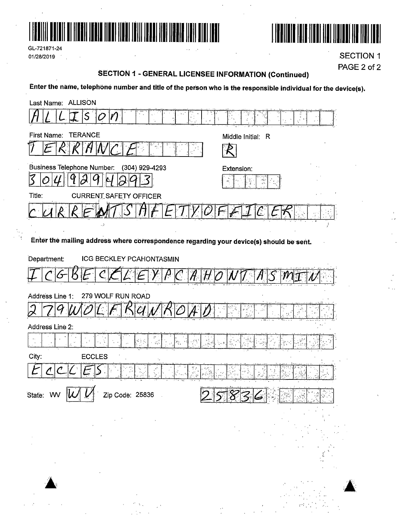

GL-721871-24 01/28/2019  $\mathcal{A}$ 



et sin

**SECTION 1** PAGE 2 of 2

## **SECTION 1 - GENERAL LICENSEE INFORMATION (Continued)**

Enter the name, telephone number and title of the person who is the responsible individual for the device(s).

| Last Name: ALLISON                                                                                   |                                        |
|------------------------------------------------------------------------------------------------------|----------------------------------------|
| $\overline{\mathcal{S}}$<br>÷                                                                        |                                        |
| <b>TERANCE</b><br>First Name:                                                                        | Middle Initial: R                      |
|                                                                                                      |                                        |
| <b>Business Telephone Number:</b><br>(304) 929-4293                                                  | Extension:                             |
| 3<br>O                                                                                               |                                        |
| Title:<br><b>CURRENT SAFETY OFFICER</b>                                                              |                                        |
|                                                                                                      |                                        |
| د.                                                                                                   |                                        |
| Enter the mailing address where correspondence regarding your device(s) should be sent.              |                                        |
| Department:<br><b>ICG BECKLEY PCAHONTASMIN</b>                                                       |                                        |
|                                                                                                      |                                        |
| 279 WOLF RUN ROAD<br>Address Line 1:                                                                 |                                        |
|                                                                                                      | у£,                                    |
| Address Line 2:                                                                                      |                                        |
| گڳڻي<br>$\varphi_{\rm{eff}}^{\rm{eff}}$<br>$\mathcal{P}_{\mathcal{V}}$ , $\mathcal{V}_{\mathcal{V}}$ | $\sum_{i=1}^n \frac{Y_{i,k}}{Y_{i,k}}$ |
| City:<br><b>ECCLES</b>                                                                               |                                        |
|                                                                                                      |                                        |
| $\overline{111}$<br>ľт<br>State: WV<br>$ \mathcal{U}   \mathcal{U} $<br>Zip Code: 25836              | ਨਾ ਸੰਘ<br><b>REPARE</b><br>$88\%$      |
|                                                                                                      |                                        |
|                                                                                                      |                                        |
|                                                                                                      |                                        |
|                                                                                                      |                                        |
|                                                                                                      |                                        |
|                                                                                                      |                                        |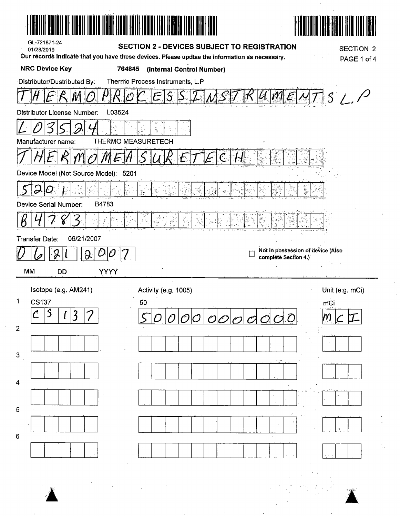| GL-721871-24<br>01/28/2019                                                                                                 | <b>SECTION 2 - DEVICES SUBJECT TO REGISTRATION</b><br>Our records indicate that you have these devices. Please updtae the information as necessary. | <b>SECTION 2</b><br>PAGE 1 of 4                           |
|----------------------------------------------------------------------------------------------------------------------------|-----------------------------------------------------------------------------------------------------------------------------------------------------|-----------------------------------------------------------|
| <b>NRC Device Key</b>                                                                                                      | 764845<br>(Internal Control Number)                                                                                                                 |                                                           |
| Distributor/Dustributed By:                                                                                                | Thermo Process Instruments, L.P                                                                                                                     |                                                           |
|                                                                                                                            |                                                                                                                                                     | $\mathcal{S}^+$<br>$/$ , $/$<br>U                         |
| Distributor License Number:                                                                                                | L03524                                                                                                                                              |                                                           |
|                                                                                                                            |                                                                                                                                                     |                                                           |
| Manufacturer name:                                                                                                         | <b>THERMO MEASURETECH</b>                                                                                                                           |                                                           |
|                                                                                                                            | $\mathcal{L}$                                                                                                                                       |                                                           |
| Device Model (Not Source Model): 5201                                                                                      |                                                                                                                                                     |                                                           |
| Ò                                                                                                                          | Ŷċ                                                                                                                                                  |                                                           |
| B4783<br>Device Serial Number:                                                                                             |                                                                                                                                                     |                                                           |
|                                                                                                                            | $\frac{1}{2}$                                                                                                                                       |                                                           |
| Transfer Date:<br>06/21/2007                                                                                               |                                                                                                                                                     |                                                           |
| ၣ                                                                                                                          | O                                                                                                                                                   | Not in possession of device (Also<br>complete Section 4.) |
| MM                                                                                                                         |                                                                                                                                                     |                                                           |
| <b>YYYY</b><br><b>DD</b>                                                                                                   |                                                                                                                                                     |                                                           |
|                                                                                                                            |                                                                                                                                                     |                                                           |
| Isotope (e.g. AM241)<br>1.<br><b>CS137</b>                                                                                 | Activity (e.g. 1005)<br>50                                                                                                                          | Unit (e.g. mCi)<br>mci                                    |
| $\mathfrak{Z}% _{M_{1},M_{2}}^{\prime\prime}(\mathbf{Q})\subset\mathfrak{Z}_{M_{1},M_{2}}^{\prime\prime}(\mathbf{Q})$<br>ι | $\mathcal C$                                                                                                                                        |                                                           |
| $\overline{2}$                                                                                                             |                                                                                                                                                     |                                                           |
| $\mathsf 3$                                                                                                                |                                                                                                                                                     |                                                           |
|                                                                                                                            |                                                                                                                                                     |                                                           |
| 4                                                                                                                          |                                                                                                                                                     |                                                           |
|                                                                                                                            |                                                                                                                                                     |                                                           |
| 5                                                                                                                          |                                                                                                                                                     |                                                           |
| 6                                                                                                                          |                                                                                                                                                     |                                                           |
|                                                                                                                            |                                                                                                                                                     |                                                           |
|                                                                                                                            |                                                                                                                                                     |                                                           |
|                                                                                                                            |                                                                                                                                                     |                                                           |
|                                                                                                                            |                                                                                                                                                     |                                                           |

 $\epsilon$ 

 $\frac{1}{2}$ 

 $\frac{1}{2}$  .

 $\bar{z}$  $\frac{1}{2}$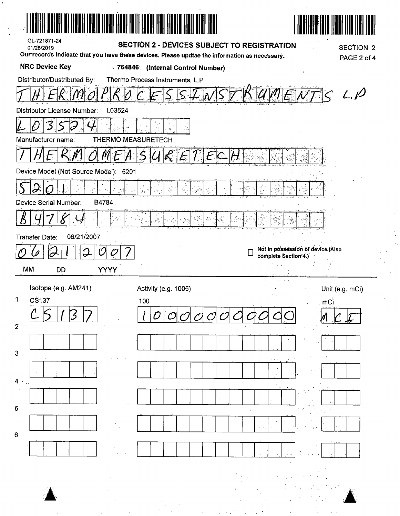| GL-721871-24<br><b>SECTION 2 - DEVICES SUBJECT TO REGISTRATION</b><br><b>SECTION 2</b><br>01/28/2019                                  |
|---------------------------------------------------------------------------------------------------------------------------------------|
| Our records indicate that you have these devices. Please updtae the information as necessary.<br>PAGE 2 of 4<br><b>NRC Device Key</b> |
| 764846 (Internal Control Number)<br>Distributor/Dustributed By:<br>Thermo Process Instruments, L.P                                    |
| L.P                                                                                                                                   |
| L03524<br>Distributor License Number:                                                                                                 |
| J.<br>نۍ د                                                                                                                            |
| <b>THERMO MEASURETECH</b><br>Manufacturer name:                                                                                       |
|                                                                                                                                       |
| Device Model (Not Source Model): 5201                                                                                                 |
| ĝ.<br>J.<br>影響<br>$\frac{1}{2}$<br>Ñ۹,<br>O<br>$\epsilon_S^{ph}$<br>$\sqrt{\delta} \mathbf{y}$ .<br>Ú€                                |
| B4784<br>Device Serial Number:                                                                                                        |
| i<br>$\mathcal{L}^{\text{S}}_{\text{P}^{\text{S}}}$<br>$\frac{1}{2}$<br>Δ                                                             |
| 06/21/2007<br><b>Transfer Date:</b>                                                                                                   |
| Not in possession of device (Also<br>O<br>ွ<br>0<br>complete Section 4.)                                                              |
| <b>YYYY</b><br>MM<br><b>DD</b>                                                                                                        |
| $\sim$<br>Isotope (e.g. AM241)<br>Activity (e.g. 1005)<br>Unit (e.g. mCi)                                                             |
| 1<br>CS137<br>100<br>mC                                                                                                               |
| $\overline{2}$                                                                                                                        |
|                                                                                                                                       |
| 3                                                                                                                                     |
| $4 \cdot$ .                                                                                                                           |
|                                                                                                                                       |
| 5                                                                                                                                     |
| $\,6$                                                                                                                                 |
|                                                                                                                                       |
|                                                                                                                                       |
|                                                                                                                                       |
|                                                                                                                                       |

 $E_{\rm{eff}}=2$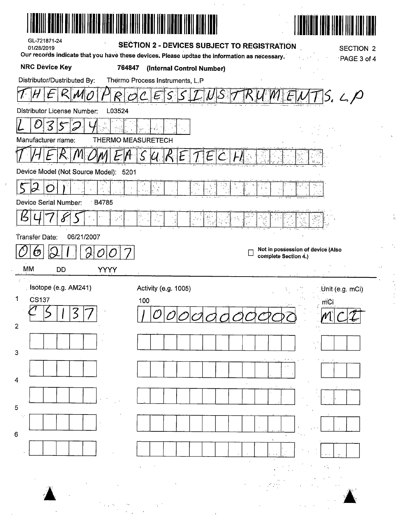|                                                                                                                             | AL ITU YILI ILDI ILDI ILDI ILDI YILI                                     |                                   |
|-----------------------------------------------------------------------------------------------------------------------------|--------------------------------------------------------------------------|-----------------------------------|
| GL-721871-24<br>01/28/2019<br>Our records indicate that you have these devices. Please updtae the information as necessary. | <b>SECTION 2 - DEVICES SUBJECT TO REGISTRATION</b>                       | <b>SECTION 2</b>                  |
| <b>NRC Device Key</b><br>764847                                                                                             | (Internal Control Number)                                                | PAGE 3 of 4                       |
| Distributor/Dustributed By:                                                                                                 | Thermo Process Instruments, L.P                                          |                                   |
| R                                                                                                                           |                                                                          | $S.$ L. $P$                       |
| L03524<br>Distributor License Number:                                                                                       |                                                                          |                                   |
| $\varsigma$<br>3<br>Ó                                                                                                       |                                                                          |                                   |
| Manufacturer name:                                                                                                          | <b>THERMO MEASURETECH</b>                                                |                                   |
|                                                                                                                             | Ł                                                                        |                                   |
| Device Model (Not Source Model): 5201                                                                                       |                                                                          |                                   |
| Device Serial Number:                                                                                                       | $\frac{d_{\chi_1\rightarrow\chi_2}}{d_{\chi_1}^2}$<br>$\times$ $\approx$ | $\frac{1}{2}-\frac{c}{2}$         |
| B4785                                                                                                                       |                                                                          |                                   |
| $\frac{1}{2} \int_{0}^{2\pi} \frac{d^{2}k}{k}$<br>σ                                                                         | 科"。<br>"元"<br>$\frac{1}{2}$ , $\frac{1}{2}$<br>$\sim$ $\sigma$           |                                   |
| Transfer Date:<br>06/21/2007                                                                                                |                                                                          | Not in possession of device (Also |
| ල                                                                                                                           |                                                                          | complete Section 4.)              |
| МM<br><b>YYYY</b><br>DĎ                                                                                                     |                                                                          |                                   |
| Isotope (e.g. AM241)<br>$\mathbf 1$<br><b>CS137</b>                                                                         | Activity (e.g. 1005)                                                     | Unit (e.g. mCi)                   |
|                                                                                                                             | 100 <sub>1</sub>                                                         | mCi                               |
| $\overline{2}$                                                                                                              |                                                                          |                                   |
| 3                                                                                                                           |                                                                          |                                   |
|                                                                                                                             |                                                                          |                                   |
| 4                                                                                                                           |                                                                          |                                   |
| 5                                                                                                                           |                                                                          |                                   |
| ÷.,                                                                                                                         |                                                                          |                                   |
| 6                                                                                                                           |                                                                          |                                   |
|                                                                                                                             |                                                                          |                                   |
|                                                                                                                             |                                                                          |                                   |
|                                                                                                                             |                                                                          |                                   |
|                                                                                                                             |                                                                          |                                   |

 $\mathcal{L}$ 

 $\mathcal{L}^{\text{max}}_{\text{max}}$  and  $\mathcal{L}^{\text{max}}_{\text{max}}$ 

 $\frac{1}{2}$ 

 $\frac{1}{3}$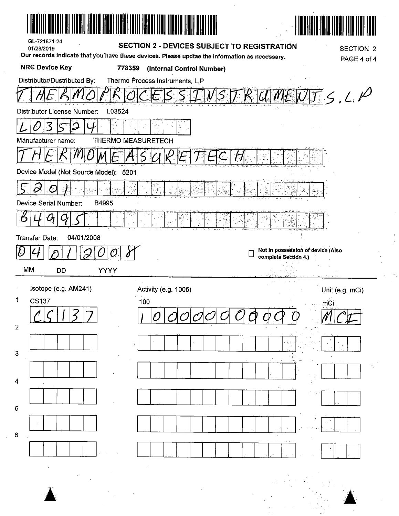| GL-721871-24<br>01/28/2019            | <b>SECTION 2 - DEVICES SUBJECT TO REGISTRATION</b>                                                                                   | <b>SECTION 2</b>                                          |
|---------------------------------------|--------------------------------------------------------------------------------------------------------------------------------------|-----------------------------------------------------------|
| <b>NRC Device Key</b>                 | Our records indicate that you have these devices. Please updtae the information as necessary.<br>778359<br>(Internal Control Number) | PAGE 4 of 4                                               |
| Distributor/Dustributed By:           | Thermo Process Instruments, L.P                                                                                                      |                                                           |
|                                       |                                                                                                                                      | 5.4. P<br>$\frac{J}{x_0}$                                 |
| L03524<br>Distributor License Number: |                                                                                                                                      |                                                           |
| 3<br>J                                |                                                                                                                                      |                                                           |
| Manufacturer name:                    | THERMO MEASURETECH                                                                                                                   |                                                           |
|                                       |                                                                                                                                      |                                                           |
| Device Model (Not Source Model): 5201 |                                                                                                                                      |                                                           |
| $\tilde{\boldsymbol{\varphi}}$<br>CJ  | $\mathbf{z} \in \mathbb{S}^d_{\mathbf{z}}$                                                                                           | Y.                                                        |
| Device Serial Number:<br>B4995        |                                                                                                                                      |                                                           |
|                                       | ķ.<br>š                                                                                                                              |                                                           |
| 04/01/2008<br><b>Transfer Date:</b>   |                                                                                                                                      |                                                           |
| ${\cal O}$                            |                                                                                                                                      | Not in possession of device (Also<br>complete Section 4.) |
| MM<br><b>YYYY</b><br>DD               |                                                                                                                                      |                                                           |
| Isotope (e.g. AM241)                  | Activity (e.g. 1005)                                                                                                                 |                                                           |
|                                       |                                                                                                                                      | Unit (e.g. mCi)                                           |
| 1<br><b>CS137</b>                     | 100                                                                                                                                  | m <sub>C1</sub>                                           |
| $\mathbf{2}$                          |                                                                                                                                      |                                                           |
|                                       |                                                                                                                                      |                                                           |
| 3                                     |                                                                                                                                      |                                                           |
|                                       |                                                                                                                                      |                                                           |
| 4                                     |                                                                                                                                      |                                                           |
| 5                                     |                                                                                                                                      |                                                           |
|                                       |                                                                                                                                      |                                                           |
| 6                                     |                                                                                                                                      |                                                           |
|                                       |                                                                                                                                      |                                                           |
|                                       |                                                                                                                                      |                                                           |
|                                       |                                                                                                                                      |                                                           |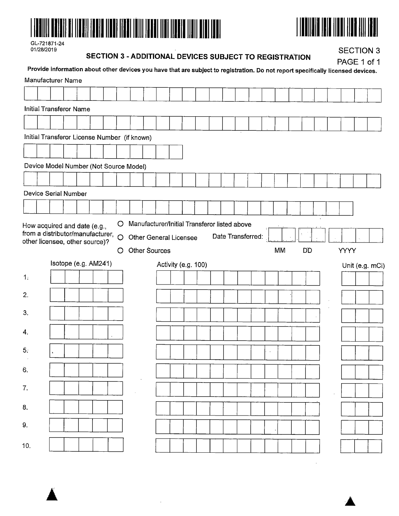



| GL-721871-24 |
|--------------|
| 01/28/2019   |

### **SECTION 3 -ADDITIONAL DEVICES SUBJECT TO REGISTRATION**

SECTION 3

|          |                                                                      |                      |  |  |   | SECTION S - ADDITIONAL DEVICES SUBJECT TO REGISTRATION                                                                          |  |                     |  |                   |  |           |    |  |      | PAGE 1 of 1     |
|----------|----------------------------------------------------------------------|----------------------|--|--|---|---------------------------------------------------------------------------------------------------------------------------------|--|---------------------|--|-------------------|--|-----------|----|--|------|-----------------|
|          | Manufacturer Name                                                    |                      |  |  |   | Provide information about other devices you have that are subject to registration. Do not report specifically licensed devices. |  |                     |  |                   |  |           |    |  |      |                 |
|          |                                                                      |                      |  |  |   |                                                                                                                                 |  |                     |  |                   |  |           |    |  |      |                 |
|          | <b>Initial Transferor Name</b>                                       |                      |  |  |   |                                                                                                                                 |  |                     |  |                   |  |           |    |  |      |                 |
|          |                                                                      |                      |  |  |   |                                                                                                                                 |  |                     |  |                   |  |           |    |  |      |                 |
|          |                                                                      |                      |  |  |   | Initial Transferor License Number (if known)                                                                                    |  |                     |  |                   |  |           |    |  |      |                 |
|          |                                                                      |                      |  |  |   |                                                                                                                                 |  |                     |  |                   |  |           |    |  |      |                 |
|          |                                                                      |                      |  |  |   | Device Model Number (Not Source Model)                                                                                          |  |                     |  |                   |  |           |    |  |      |                 |
|          |                                                                      |                      |  |  |   |                                                                                                                                 |  |                     |  |                   |  |           |    |  |      |                 |
|          | Device Serial Number                                                 |                      |  |  |   |                                                                                                                                 |  |                     |  |                   |  |           |    |  |      |                 |
|          |                                                                      |                      |  |  |   |                                                                                                                                 |  |                     |  |                   |  |           |    |  |      |                 |
|          | from a distributor/manufacturer, O<br>other licensee, other source)? |                      |  |  | O | <b>Other General Licensee</b><br>Other Sources                                                                                  |  |                     |  | Date Transferred: |  | <b>MM</b> | DD |  | YYYY |                 |
|          |                                                                      | Isotope (e.g. AM241) |  |  |   |                                                                                                                                 |  | Activity (e.g. 100) |  |                   |  |           |    |  |      | Unit (e.g. mCi) |
| 1:       |                                                                      |                      |  |  |   |                                                                                                                                 |  |                     |  |                   |  |           |    |  |      |                 |
| 2.       |                                                                      |                      |  |  |   |                                                                                                                                 |  |                     |  |                   |  |           |    |  |      |                 |
| 3.       |                                                                      |                      |  |  |   |                                                                                                                                 |  |                     |  |                   |  |           |    |  |      |                 |
| 4.       |                                                                      |                      |  |  |   |                                                                                                                                 |  |                     |  |                   |  |           |    |  |      |                 |
|          |                                                                      |                      |  |  |   |                                                                                                                                 |  |                     |  |                   |  |           |    |  |      |                 |
| \$.      |                                                                      |                      |  |  |   |                                                                                                                                 |  |                     |  |                   |  |           |    |  |      |                 |
| 6.       |                                                                      |                      |  |  |   |                                                                                                                                 |  |                     |  |                   |  |           |    |  |      |                 |
| 7.       |                                                                      |                      |  |  |   |                                                                                                                                 |  |                     |  |                   |  |           |    |  |      |                 |
|          |                                                                      |                      |  |  |   |                                                                                                                                 |  |                     |  |                   |  |           |    |  |      |                 |
|          |                                                                      |                      |  |  |   |                                                                                                                                 |  |                     |  |                   |  |           |    |  |      |                 |
|          |                                                                      |                      |  |  |   |                                                                                                                                 |  |                     |  |                   |  |           |    |  |      |                 |
| 8.<br>9. |                                                                      |                      |  |  |   |                                                                                                                                 |  |                     |  |                   |  |           |    |  |      |                 |

 $\ddot{\phantom{a}}$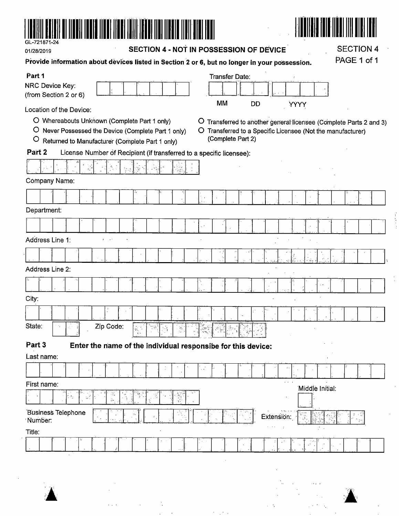

01/28/2019

SECTION 4 - NOT IN POSSESSION OF DEVICE

**SECTION 4** 

PAGE 1 of 1

 $\frac{1}{2}$ 

| Part 1                                                                                                                                                                       | <b>Transfer Date:</b>                                              |  |
|------------------------------------------------------------------------------------------------------------------------------------------------------------------------------|--------------------------------------------------------------------|--|
| NRC Device Key:                                                                                                                                                              |                                                                    |  |
| (from Section 2 or 6)                                                                                                                                                        |                                                                    |  |
| MM<br>DD<br><b>YYYY</b><br>Location of the Device:                                                                                                                           |                                                                    |  |
| O Whereabouts Unknown (Complete Part 1 only)                                                                                                                                 | O Transferred to another general licensee (Complete Parts 2 and 3) |  |
| $\circ$<br>Never Possessed the Device (Complete Part 1 only)                                                                                                                 | O Transferred to a Specific Licensee (Not the manufacturer)        |  |
| O<br>Returned to Manufacturer (Complete Part 1 only)                                                                                                                         | (Complete Part 2)                                                  |  |
| Part <sub>2</sub><br>License Number of Recipient (if transferred to a specific licensee):                                                                                    |                                                                    |  |
|                                                                                                                                                                              |                                                                    |  |
| Company Name:                                                                                                                                                                |                                                                    |  |
| é.                                                                                                                                                                           |                                                                    |  |
| Department:                                                                                                                                                                  |                                                                    |  |
|                                                                                                                                                                              |                                                                    |  |
| Address Line 1:<br>$\sim$ $^{\prime}$                                                                                                                                        |                                                                    |  |
|                                                                                                                                                                              |                                                                    |  |
|                                                                                                                                                                              |                                                                    |  |
| Address Line 2:                                                                                                                                                              |                                                                    |  |
| $\lambda$                                                                                                                                                                    |                                                                    |  |
| City:                                                                                                                                                                        |                                                                    |  |
|                                                                                                                                                                              |                                                                    |  |
| State:<br>Zip Code:<br>, 239 원                                                                                                                                               |                                                                    |  |
| Part 3<br>Enter the name of the individual responsibe for this device:                                                                                                       |                                                                    |  |
| Last name:                                                                                                                                                                   |                                                                    |  |
| ç.                                                                                                                                                                           |                                                                    |  |
| First name:                                                                                                                                                                  | Middle Initial:                                                    |  |
| SF.<br>$\begin{pmatrix} \overline{\delta} \delta_{\mu} \\ \overline{\delta}_{\mu}^{\mu} \end{pmatrix}$<br>$\frac{1}{2}$<br>X<br>$\sqrt{\frac{2}{3}}$<br>ž.<br>$\mathbb{Z}^+$ |                                                                    |  |
| <b>Business Telephone</b><br>$\hat{a}$<br>Number:                                                                                                                            | Extension:<br>$\frac{1}{2}$                                        |  |
| Title:                                                                                                                                                                       | $\kappa = 4$ .<br>$\cdot$                                          |  |
|                                                                                                                                                                              | V.                                                                 |  |
|                                                                                                                                                                              |                                                                    |  |



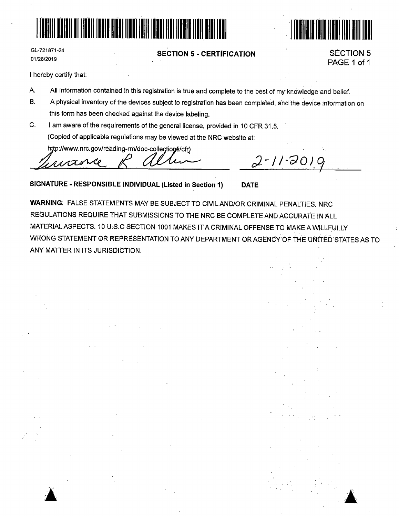



GL-721871-24 01/28/2019

### **SECTION 5** - **CERTiFICATION**

SECTION 5 PAGE 1 of 1

'

————————————————————

I hereby certify that:

.. <sup>~</sup>

- A. All information contained in this registration is true and complete to the best of my knowledge and belief.
- B. A physical inventory of the devices subject to registration has been completed, and the device information on this form has been checked against the device labeling.
- C. I am aware of the requirements of the general license, provided in 10 CFR 31.5. (Copied of applicable regulations may be viewed at the NRC website at:

http://www.nrc.gov/reading-rm/doc-collections/cfr)

RAOXX ~

*If.· ;)\_-//~c)D\_"}c9* 

**SIGNATURE** - **RESPONSIBLE INDIVIDUAL (Listed in Section 1) DATE** 

**WARNING:** FALSE STATEMENTS MAY BE SUBJECT TO CIVIL AND/OR CRIMINAL PENALTIES. NRC REGULATIONS REQUIRE THAT SUBMISSIONS TO THE NRC BE COMPLETE AND AGCURAfE IN ALL MATERIAL ASPECTS. 10 U:S.C SECTION 1001 MAKES IT A CRIMINAL OFFENSE TO MAKE A WILLFULLY WRONG STATEMENT OR REPRESENTATION TO ANY DEPARTMENT OR AGENCY OF THE UNITED STATES AS TO ANY MATTER IN ITS JURISDICTION.

**.:a** ·~.